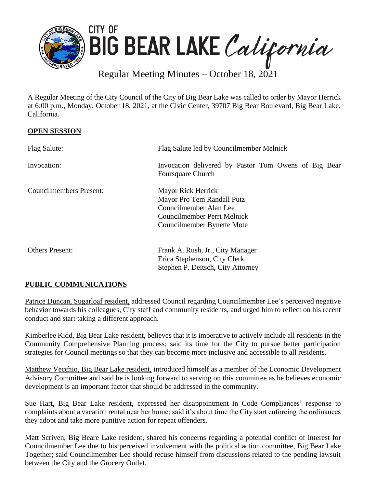

Regular Meeting Minutes – October 18, 2021

A Regular Meeting of the City Council of the City of Big Bear Lake was called to order by Mayor Herrick at 6:00 p.m., Monday, October 18, 2021, at the Civic Center, 39707 Big Bear Boulevard, Big Bear Lake, California.

## **OPEN SESSION**

| Flag Salute:                   | Flag Salute led by Councilmember Melnick                                                                                                |
|--------------------------------|-----------------------------------------------------------------------------------------------------------------------------------------|
| Invocation:                    | Invocation delivered by Pastor Tom Owens of Big Bear<br><b>Foursquare Church</b>                                                        |
| <b>Councilmembers Present:</b> | Mayor Rick Herrick<br>Mayor Pro Tem Randall Putz<br>Councilmember Alan Lee<br>Councilmember Perri Melnick<br>Councilmember Bynette Mote |
| <b>Others Present:</b>         | Frank A. Rush, Jr., City Manager<br>Erica Stephenson, City Clerk<br>Stephen P. Deitsch, City Attorney                                   |

# **PUBLIC COMMUNICATIONS**

Patrice Duncan, Sugarloaf resident, addressed Council regarding Councilmember Lee's perceived negative behavior towards his colleagues, City staff and community residents, and urged him to reflect on his recent conduct and start taking a different approach.

Kimberlee Kidd, Big Bear Lake resident, believes that it is imperative to actively include all residents in the Community Comprehensive Planning process; said its time for the City to pursue better participation strategies for Council meetings so that they can become more inclusive and accessible to all residents.

Matthew Vecchio, Big Bear Lake resident, introduced himself as a member of the Economic Development Advisory Committee and said he is looking forward to serving on this committee as he believes economic development is an important factor that should be addressed in the community.

Sue Hart, Big Bear Lake resident, expressed her disappointment in Code Compliances' response to complaints about a vacation rental near her home; said it's about time the City start enforcing the ordinances they adopt and take more punitive action for repeat offenders.

Matt Scriven, Big Beare Lake resident, shared his concerns regarding a potential conflict of interest for Councilmember Lee due to his perceived involvement with the political action committee, Big Bear Lake Together; said Councilmember Lee should recuse himself from discussions related to the pending lawsuit between the City and the Grocery Outlet.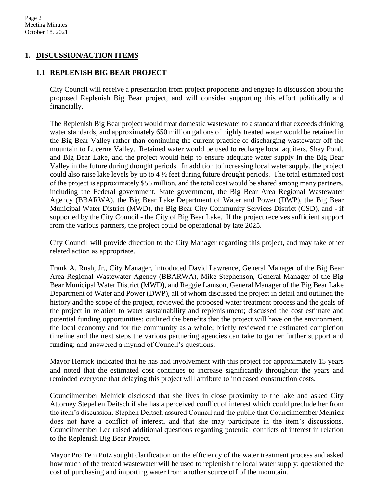## **1. DISCUSSION/ACTION ITEMS**

### **1.1 REPLENISH BIG BEAR PROJECT**

City Council will receive a presentation from project proponents and engage in discussion about the proposed Replenish Big Bear project, and will consider supporting this effort politically and financially.

The Replenish Big Bear project would treat domestic wastewater to a standard that exceeds drinking water standards, and approximately 650 million gallons of highly treated water would be retained in the Big Bear Valley rather than continuing the current practice of discharging wastewater off the mountain to Lucerne Valley. Retained water would be used to recharge local aquifers, Shay Pond, and Big Bear Lake, and the project would help to ensure adequate water supply in the Big Bear Valley in the future during drought periods. In addition to increasing local water supply, the project could also raise lake levels by up to 4 ½ feet during future drought periods. The total estimated cost of the project is approximately \$56 million, and the total cost would be shared among many partners, including the Federal government, State government, the Big Bear Area Regional Wastewater Agency (BBARWA), the Big Bear Lake Department of Water and Power (DWP), the Big Bear Municipal Water District (MWD), the Big Bear City Community Services District (CSD), and - if supported by the City Council - the City of Big Bear Lake. If the project receives sufficient support from the various partners, the project could be operational by late 2025.

City Council will provide direction to the City Manager regarding this project, and may take other related action as appropriate.

Frank A. Rush, Jr., City Manager, introduced David Lawrence, General Manager of the Big Bear Area Regional Wastewater Agency (BBARWA), Mike Stephenson, General Manager of the Big Bear Municipal Water District (MWD), and Reggie Lamson, General Manager of the Big Bear Lake Department of Water and Power (DWP), all of whom discussed the project in detail and outlined the history and the scope of the project, reviewed the proposed water treatment process and the goals of the project in relation to water sustainability and replenishment; discussed the cost estimate and potential funding opportunities; outlined the benefits that the project will have on the environment, the local economy and for the community as a whole; briefly reviewed the estimated completion timeline and the next steps the various partnering agencies can take to garner further support and funding; and answered a myriad of Council's questions.

Mayor Herrick indicated that he has had involvement with this project for approximately 15 years and noted that the estimated cost continues to increase significantly throughout the years and reminded everyone that delaying this project will attribute to increased construction costs.

Councilmember Melnick disclosed that she lives in close proximity to the lake and asked City Attorney Stepehen Deitsch if she has a perceived conflict of interest which could preclude her from the item's discussion. Stephen Deitsch assured Council and the public that Councilmember Melnick does not have a conflict of interest, and that she may participate in the item's discussions. Councilmember Lee raised additional questions regarding potential conflicts of interest in relation to the Replenish Big Bear Project.

Mayor Pro Tem Putz sought clarification on the efficiency of the water treatment process and asked how much of the treated wastewater will be used to replenish the local water supply; questioned the cost of purchasing and importing water from another source off of the mountain.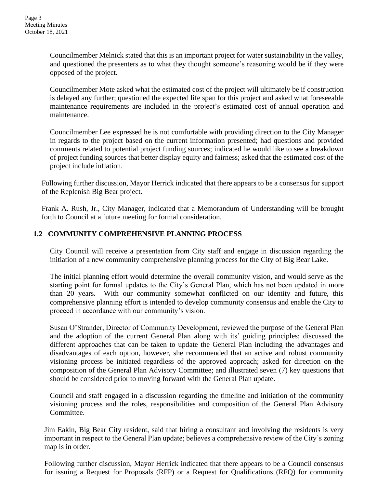Councilmember Melnick stated that this is an important project for water sustainability in the valley, and questioned the presenters as to what they thought someone's reasoning would be if they were opposed of the project.

Councilmember Mote asked what the estimated cost of the project will ultimately be if construction is delayed any further; questioned the expected life span for this project and asked what foreseeable maintenance requirements are included in the project's estimated cost of annual operation and maintenance.

Councilmember Lee expressed he is not comfortable with providing direction to the City Manager in regards to the project based on the current information presented; had questions and provided comments related to potential project funding sources; indicated he would like to see a breakdown of project funding sources that better display equity and fairness; asked that the estimated cost of the project include inflation.

Following further discussion, Mayor Herrick indicated that there appears to be a consensus for support of the Replenish Big Bear project.

Frank A. Rush, Jr., City Manager, indicated that a Memorandum of Understanding will be brought forth to Council at a future meeting for formal consideration.

## **1.2 COMMUNITY COMPREHENSIVE PLANNING PROCESS**

City Council will receive a presentation from City staff and engage in discussion regarding the initiation of a new community comprehensive planning process for the City of Big Bear Lake.

The initial planning effort would determine the overall community vision, and would serve as the starting point for formal updates to the City's General Plan, which has not been updated in more than 20 years. With our community somewhat conflicted on our identity and future, this comprehensive planning effort is intended to develop community consensus and enable the City to proceed in accordance with our community's vision.

Susan O'Strander, Director of Community Development, reviewed the purpose of the General Plan and the adoption of the current General Plan along with its' guiding principles; discussed the different approaches that can be taken to update the General Plan including the advantages and disadvantages of each option, however, she recommended that an active and robust community visioning process be initiated regardless of the approved approach; asked for direction on the composition of the General Plan Advisory Committee; and illustrated seven (7) key questions that should be considered prior to moving forward with the General Plan update.

Council and staff engaged in a discussion regarding the timeline and initiation of the community visioning process and the roles, responsibilities and composition of the General Plan Advisory Committee.

Jim Eakin, Big Bear City resident, said that hiring a consultant and involving the residents is very important in respect to the General Plan update; believes a comprehensive review of the City's zoning map is in order.

Following further discussion, Mayor Herrick indicated that there appears to be a Council consensus for issuing a Request for Proposals (RFP) or a Request for Qualifications (RFQ) for community